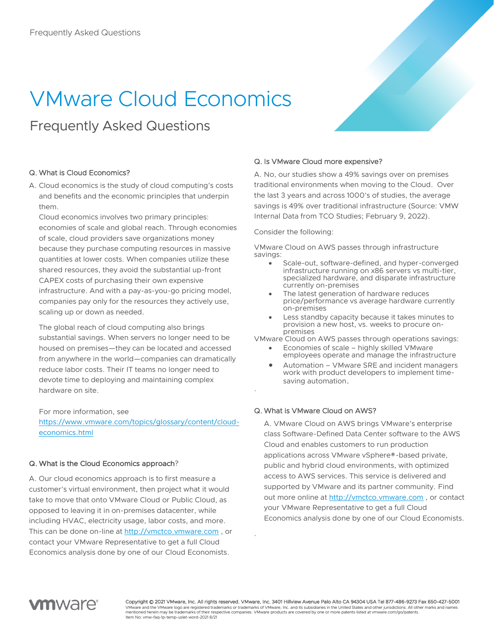# VMware Cloud Economics

# Frequently Asked Questions

### Q. What is Cloud Economics?

A. Cloud economics is the study of cloud computing's costs and benefits and the economic principles that underpin them.

Cloud economics involves two primary principles: economies of scale and global reach. Through economies of scale, cloud providers save organizations money because they purchase computing resources in massive quantities at lower costs. When companies utilize these shared resources, they avoid the substantial up-front CAPEX costs of purchasing their own expensive infrastructure. And with a pay-as-you-go pricing model, companies pay only for the resources they actively use, scaling up or down as needed.

The global reach of cloud computing also brings substantial savings. When servers no longer need to be housed on premises—they can be located and accessed from anywhere in the world—companies can dramatically reduce labor costs. Their IT teams no longer need to devote time to deploying and maintaining complex hardware on site.

### For more information, see

[https://www.vmware.com/topics/glossary/content/cloud](https://www.vmware.com/topics/glossary/content/cloud-economics.html)[economics.html](https://www.vmware.com/topics/glossary/content/cloud-economics.html)

### Q. What is the Cloud Economics approach?

A. Our cloud economics approach is to first measure a customer's virtual environment, then project what it would take to move that onto VMware Cloud or Public Cloud, as opposed to leaving it in on-premises datacenter, while including HVAC, electricity usage, labor costs, and more. This can be done on-line at [http://vmctco.vmware.com](http://vmctco.vmware.com/) , or contact your VMware Representative to get a full Cloud Economics analysis done by one of our Cloud Economists.

### Q. Is VMware Cloud more expensive?

A. No, our studies show a 49% savings over on premises traditional environments when moving to the Cloud. Over the last 3 years and across 1000's of studies, the average savings is 49% over traditional infrastructure (Source: VMW Internal Data from TCO Studies; February 9, 2022).

Consider the following:

VMware Cloud on AWS passes through infrastructure savings:

- Scale-out, software-defined, and hyper-converged infrastructure running on x86 servers vs multi-tier, specialized hardware, and disparate infrastructure currently on-premises
- The latest generation of hardware reduces price/performance vs average hardware currently on-premises
- Less standby capacity because it takes minutes to provision a new host, vs. weeks to procure onpremises

VMware Cloud on AWS passes through operations savings:

- Economies of scale highly skilled VMware employees operate and manage the infrastructure
- Automation VMware SRE and incident managers work with product developers to implement timesaving automation.

### Q. What is VMware Cloud on AWS?

.

.

A. VMware Cloud on AWS brings VMware's enterprise class Software-Defined Data Center software to the AWS Cloud and enables customers to run production applications across VMware vSphere®-based private, public and hybrid cloud environments, with optimized access to AWS services. This service is delivered and supported by VMware and its partner community. Find out more online at [http://vmctco.vmware.com](http://vmctco.vmware.com/), or contact your VMware Representative to get a full Cloud Economics analysis done by one of our Cloud Economists.



Copyright © 2021 VMware, Inc. All rights reserved. VMware, Inc. 3401 Hillview Avenue Palo Alto CA 94304 USA Tel 877-486-9273 Fax 650-427-5001 VMware and the VMware logo are registered trademarks or trademarks of VMware, Inc. and its subsidiaries in the United States and other jurisdictions. All other marks and names mentioned herein may be trademarks of their respective companies. VMware products are covered by one or more patents listed at vmware.com/go/patents. Item No: vmw-faq-1p-temp-uslet-word-2021 8/21